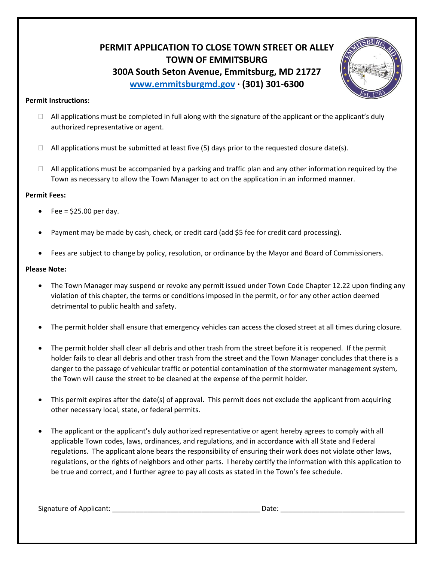## **PERMIT APPLICATION TO CLOSE TOWN STREET OR ALLEY TOWN OF EMMITSBURG 300A South Seton Avenue, Emmitsburg, MD 21727 [www.emmitsburgmd.gov](http://www.emmitsburgmd.gov/) · (301) 301-6300**



## **Permit Instructions:**

- $\Box$  All applications must be completed in full along with the signature of the applicant or the applicant's duly authorized representative or agent.
- $\Box$  All applications must be submitted at least five (5) days prior to the requested closure date(s).
- $\Box$  All applications must be accompanied by a parking and traffic plan and any other information required by the Town as necessary to allow the Town Manager to act on the application in an informed manner.

## **Permit Fees:**

- Fee =  $$25.00$  per day.
- Payment may be made by cash, check, or credit card (add \$5 fee for credit card processing).
- Fees are subject to change by policy, resolution, or ordinance by the Mayor and Board of Commissioners.

## **Please Note:**

- The Town Manager may suspend or revoke any permit issued under Town Code Chapter 12.22 upon finding any violation of this chapter, the terms or conditions imposed in the permit, or for any other action deemed detrimental to public health and safety.
- The permit holder shall ensure that emergency vehicles can access the closed street at all times during closure.
- The permit holder shall clear all debris and other trash from the street before it is reopened. If the permit holder fails to clear all debris and other trash from the street and the Town Manager concludes that there is a danger to the passage of vehicular traffic or potential contamination of the stormwater management system, the Town will cause the street to be cleaned at the expense of the permit holder.
- This permit expires after the date(s) of approval. This permit does not exclude the applicant from acquiring other necessary local, state, or federal permits.
- The applicant or the applicant's duly authorized representative or agent hereby agrees to comply with all applicable Town codes, laws, ordinances, and regulations, and in accordance with all State and Federal regulations. The applicant alone bears the responsibility of ensuring their work does not violate other laws, regulations, or the rights of neighbors and other parts. I hereby certify the information with this application to be true and correct, and I further agree to pay all costs as stated in the Town's fee schedule.

Signature of Applicant: \_\_\_\_\_\_\_\_\_\_\_\_\_\_\_\_\_\_\_\_\_\_\_\_\_\_\_\_\_\_\_\_\_\_\_\_\_\_ Date: \_\_\_\_\_\_\_\_\_\_\_\_\_\_\_\_\_\_\_\_\_\_\_\_\_\_\_\_\_\_\_\_